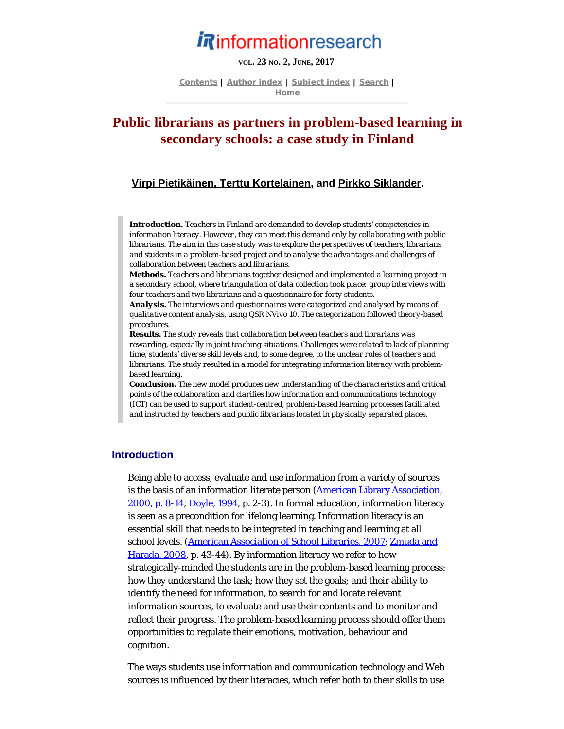# **Rinformationresearch**

# **VOL. 23 NO. 2, JUNE, 2017**

**[Contents](http://www.informationr.net/ir/22-2/infres222.html) | [Author index](http://www.informationr.net/ir/iraindex.html) | [Subject index](http://www.informationr.net/ir/irsindex.html) | [Search](http://www.informationr.net/ir/search.html) | [Home](http://www.informationr.net/ir/index.html)**

# **Public librarians as partners in problem-based learning in secondary schools: a case study in Finland**

#### **[Virpi Pietikäinen, Terttu Kortelainen](#page-19-0), and [Pirkko Siklander](#page-19-0).**

*Introduction. Teachers in Finland are demanded to develop students' competencies in information literacy. However, they can meet this demand only by collaborating with public librarians. The aim in this case study was to explore the perspectives of teachers, librarians and students in a problem-based project and to analyse the advantages and challenges of collaboration between teachers and librarians.*

*Methods. Teachers and librarians together designed and implemented a learning project in a secondary school, where triangulation of data collection took place: group interviews with four teachers and two librarians and a questionnaire for forty students.*

*Analysis. The interviews and questionnaires were categorized and analysed by means of qualitative content analysis, using QSR NVivo 10. The categorization followed theory-based procedures.*

*Results. The study reveals that collaboration between teachers and librarians was rewarding, especially in joint teaching situations. Challenges were related to lack of planning time, students' diverse skill levels and, to some degree, to the unclear roles of teachers and librarians. The study resulted in a model for integrating information literacy with problembased learning.*

*Conclusion. The new model produces new understanding of the characteristics and critical points of the collaboration and clarifies how information and communications technology (ICT) can be used to support student-centred, problem-based learning processes facilitated and instructed by teachers and public librarians located in physically separated places.*

#### **Introduction**

Being able to access, evaluate and use information from a variety of sources is the basis of an information literate person [\(American Library Association,](#page-23-0) [2000, p. 8-14; Doyle, 1994](#page-23-0), p. 2-3). In formal education, information literacy is seen as a precondition for lifelong learning. Information literacy is an essential skill that needs to be integrated in teaching and learning at all school levels. [\(American Association of School Libraries, 2007](#page-23-0); [Zmuda and](#page-23-1) [Harada, 2008,](#page-23-1) p. 43-44). By information literacy we refer to how strategically-minded the students are in the problem-based learning process: how they understand the task; how they set the goals; and their ability to identify the need for information, to search for and locate relevant information sources, to evaluate and use their contents and to monitor and reflect their progress. The problem-based learning process should offer them opportunities to regulate their emotions, motivation, behaviour and cognition.

The ways students use information and communication technology and Web sources is influenced by their literacies, which refer both to their skills to use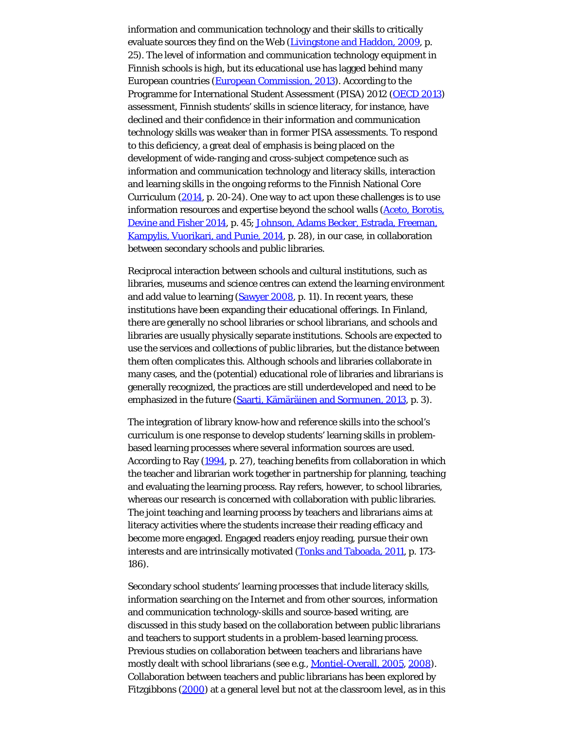information and communication technology and their skills to critically evaluate sources they find on the Web [\(Livingstone and Haddon, 2009](#page-23-0), p. 25). The level of information and communication technology equipment in Finnish schools is high, but its educational use has lagged behind many European countries [\(European Commission, 2013](#page-23-0)). According to the Programme for International Student Assessment (PISA) 2012 [\(OECD 2013](#page-23-0)) assessment, Finnish students' skills in science literacy, for instance, have declined and their confidence in their information and communication technology skills was weaker than in former PISA assessments. To respond to this deficiency, a great deal of emphasis is being placed on the development of wide-ranging and cross-subject competence such as information and communication technology and literacy skills, interaction and learning skills in the ongoing reforms to the Finnish National Core Curriculum  $(2014, p. 20-24)$  $(2014, p. 20-24)$  $(2014, p. 20-24)$ . One way to act upon these challenges is to use information resources and expertise beyond the school walls [\(Aceto, Borotis,](#page-23-0) [Devine and Fisher 2014](#page-23-0), p. 45; [Johnson, Adams Becker, Estrada, Freeman,](#page-23-0) [Kampylis, Vuorikari, and Punie, 2014](#page-23-0), p. 28), in our case, in collaboration between secondary schools and public libraries.

Reciprocal interaction between schools and cultural institutions, such as libraries, museums and science centres can extend the learning environment and add value to learning [\(Sawyer 2008](#page-23-0), p. 11). In recent years, these institutions have been expanding their educational offerings. In Finland, there are generally no school libraries or school librarians, and schools and libraries are usually physically separate institutions. Schools are expected to use the services and collections of public libraries, but the distance between them often complicates this. Although schools and libraries collaborate in many cases, and the (potential) educational role of libraries and librarians is generally recognized, the practices are still underdeveloped and need to be emphasized in the future ([Saarti, Kämäräinen and Sormunen, 2013](#page-23-0), p. 3).

The integration of library know-how and reference skills into the school's curriculum is one response to develop students' learning skills in problembased learning processes where several information sources are used. According to Ray [\(1994](#page-23-0), p. 27), teaching benefits from collaboration in which the teacher and librarian work together in partnership for planning, teaching and evaluating the learning process. Ray refers, however, to school libraries, whereas our research is concerned with collaboration with public libraries. The joint teaching and learning process by teachers and librarians aims at literacy activities where the students increase their reading efficacy and become more engaged. Engaged readers enjoy reading, pursue their own interests and are intrinsically motivated [\(Tonks and Taboada, 2011](#page-23-2), p. 173-186).

Secondary school students' learning processes that include literacy skills, information searching on the Internet and from other sources, information and communication technology-skills and source-based writing, are discussed in this study based on the collaboration between public librarians and teachers to support students in a problem-based learning process. Previous studies on collaboration between teachers and librarians have mostly dealt with school librarians (see e.g., [Montiel-Overall, 2005](#page-23-0), [2008](#page-23-0)). Collaboration between teachers and public librarians has been explored by Fitzgibbons [\(2000](#page-23-0)) at a general level but not at the classroom level, as in this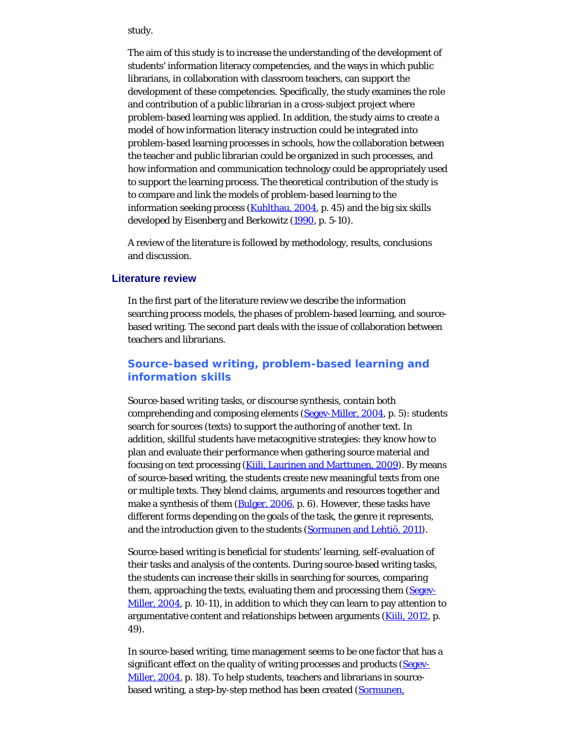study.

The aim of this study is to increase the understanding of the development of students' information literacy competencies, and the ways in which public librarians, in collaboration with classroom teachers, can support the development of these competencies. Specifically, the study examines the role and contribution of a public librarian in a cross-subject project where problem-based learning was applied. In addition, the study aims to create a model of how information literacy instruction could be integrated into problem-based learning processes in schools, how the collaboration between the teacher and public librarian could be organized in such processes, and how information and communication technology could be appropriately used to support the learning process. The theoretical contribution of the study is to compare and link the models of problem-based learning to the information seeking process [\(Kuhlthau, 2004](#page-23-0), p. 45) and the big six skills developed by Eisenberg and Berkowitz [\(1990](#page-23-0), p. 5-10).

A review of the literature is followed by methodology, results, conclusions and discussion.

# **Literature review**

In the first part of the literature review we describe the information searching process models, the phases of problem-based learning, and sourcebased writing. The second part deals with the issue of collaboration between teachers and librarians.

# **Source-based writing, problem-based learning and information skills**

*Source-based writing* tasks, or *discourse synthesis*, contain both comprehending and composing elements ([Segev-Miller, 2004](#page-23-0), p. 5): students search for sources (texts) to support the authoring of another text. In addition, skillful students have metacognitive strategies: they know how to plan and evaluate their performance when gathering source material and focusing on text processing ([Kiili, Laurinen and Marttunen, 2009](#page-23-0)). By means of source-based writing, the students create new meaningful texts from one or multiple texts. They blend claims, arguments and resources together and make a synthesis of them [\(Bulger, 2006](#page-23-0), p. 6). However, these tasks have different forms depending on the goals of the task, the genre it represents, and the introduction given to the students ([Sormunen and Lehtiö, 2011\)](#page-23-3).

Source-based writing is beneficial for students' learning, self-evaluation of their tasks and analysis of the contents. During source-based writing tasks, the students can increase their skills in searching for sources, comparing them, approaching the texts, evaluating them and processing them [\(Segev-](#page-23-0)[Miller, 2004](#page-23-0), p. 10-11), in addition to which they can learn to pay attention to argumentative content and relationships between arguments (**Kiili, 2012**, p. 49).

In source-based writing, time management seems to be one factor that has a significant effect on the quality of writing processes and products ([Segev-](#page-23-0)[Miller, 2004](#page-23-0), p. 18). To help students, teachers and librarians in source-based writing, a step-by-step method has been created ([Sormunen,](#page-23-4)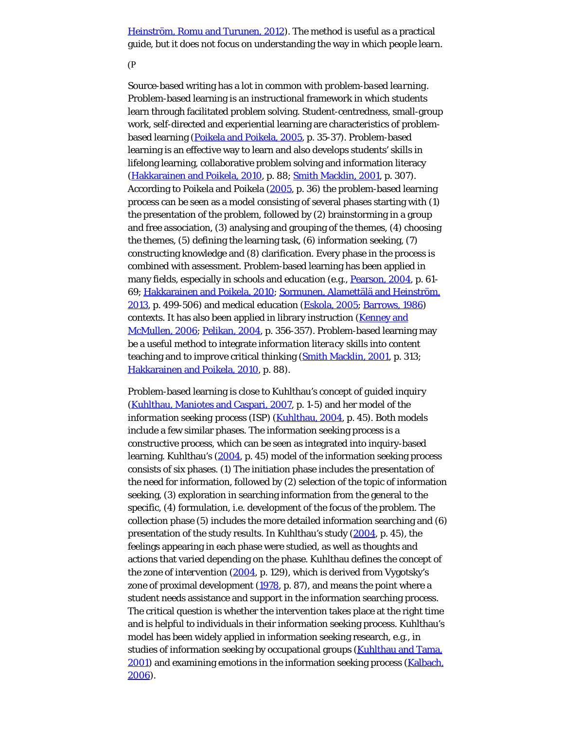[Heinström, Romu and Turunen, 2012](#page-23-4)). The method is useful as a practical guide, but it does not focus on understanding the way in which people learn.

(P

Source-based writing has a lot in common with *problem-based learning*. Problem-based learning is an instructional framework in which students learn through facilitated problem solving. Student-centredness, small-group work, self-directed and experiential learning are characteristics of problembased learning ([Poikela and Poikela, 2005,](#page-23-0) p. 35-37). Problem-based learning is an effective way to learn and also develops students' skills in lifelong learning, collaborative problem solving and information literacy [\(Hakkarainen and Poikela, 2010](#page-23-0), p. 88; [Smith Macklin, 2001](#page-23-0), p. 307). According to Poikela and Poikela ([2005,](#page-23-0) p. 36) the problem-based learning process can be seen as a model consisting of several phases starting with (1) the presentation of the problem, followed by (2) brainstorming in a group and free association, (3) analysing and grouping of the themes, (4) choosing the themes, (5) defining the learning task, (6) information seeking, (7) constructing knowledge and (8) clarification. Every phase in the process is combined with assessment. Problem-based learning has been applied in many fields, especially in schools and education (e.g., [Pearson, 2004](#page-23-0), p. 61-69; [Hakkarainen and Poikela, 2010](#page-23-0); [Sormunen, Alamettälä and Heinström,](#page-23-0) [2013,](#page-23-0) p. 499-506) and medical education [\(Eskola, 2005](#page-23-0); [Barrows, 1986](#page-23-0)) contexts. It has also been applied in library instruction ([Kenney and](#page-23-0) [McMullen, 2006](#page-23-0); [Pelikan, 2004](#page-23-0), p. 356-357). Problem-based learning may be a useful method to integrate *information literacy skills* into content teaching and to improve critical thinking [\(Smith Macklin, 2001](#page-23-0), p. 313; [Hakkarainen and Poikela, 2010](#page-23-0), p. 88).

Problem-based learning is close to Kuhlthau's concept of *guided inquiry* [\(Kuhlthau, Maniotes and Caspari, 2007](#page-23-0), p. 1-5) and her model of *the information seeking process (ISP)* ([Kuhlthau, 2004](#page-23-0), p. 45). Both models include a few similar phases. The information seeking process is a constructive process, which can be seen as integrated into inquiry-based learning. Kuhlthau's [\(2004](#page-23-0), p. 45) model of the information seeking process consists of six phases. (1) The initiation phase includes the presentation of the need for information, followed by (2) selection of the topic of information seeking, (3) exploration in searching information from the general to the specific, (4) formulation, i.e. development of the focus of the problem. The collection phase (5) includes the more detailed information searching and (6) presentation of the study results. In Kuhlthau's study [\(2004](#page-23-0), p. 45), the feelings appearing in each phase were studied, as well as thoughts and actions that varied depending on the phase. Kuhlthau defines the concept of the *zone of intervention* ([2004,](#page-23-0) p. 129), which is derived from Vygotsky's zone of proximal development [\(1978](#page-23-5), p. 87), and means the point where a student needs assistance and support in the information searching process. The critical question is whether the intervention takes place at the right time and is helpful to individuals in their information seeking process. Kuhlthau's model has been widely applied in information seeking research, e.g., in studies of information seeking by occupational groups ([Kuhlthau and Tama,](#page-23-0) [2001](#page-23-0)) and examining emotions in the information seeking process (**Kalbach**, [2006\)](#page-23-0).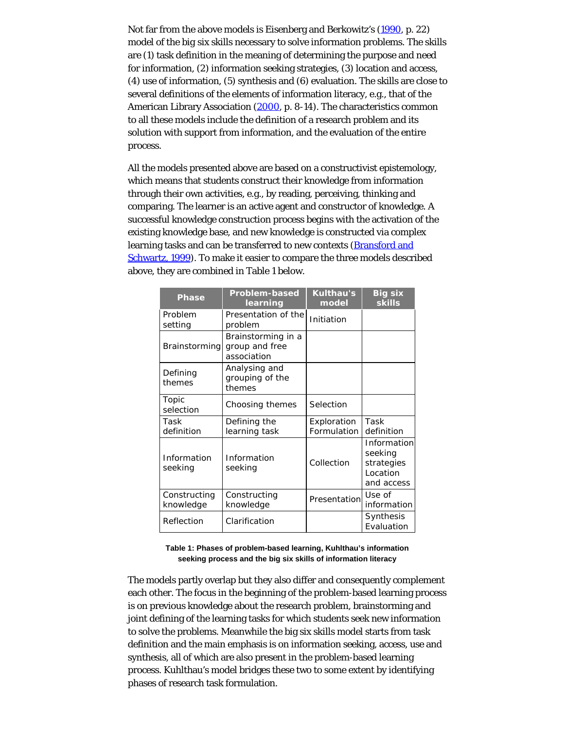Not far from the above models is Eisenberg and Berkowitz's [\(1990](#page-23-0), p. 22) model of the *big six skills* necessary to solve information problems. The skills are (1) task definition in the meaning of determining the purpose and need for information, (2) information seeking strategies, (3) location and access, (4) use of information, (5) synthesis and (6) evaluation. The skills are close to several definitions of the elements of information literacy, e.g., that of the American Library Association ([2000](#page-23-0), p. 8-14). The characteristics common to all these models include the definition of a research problem and its solution with support from information, and the evaluation of the entire process.

All the models presented above are based on a constructivist epistemology, which means that students construct their knowledge from information through their own activities, e.g., by reading, perceiving, thinking and comparing. The learner is an active agent and constructor of knowledge. A successful knowledge construction process begins with the activation of the existing knowledge base, and new knowledge is constructed via complex learning tasks and can be transferred to new contexts (**Bransford and** [Schwartz, 1999\)](#page-23-0). To make it easier to compare the three models described above, they are combined in Table 1 below.

| <b>Phase</b>              | <b>Problem-based</b><br>learning                    | <b>Kulthau's</b><br>model  | <b>Big six</b><br><b>skills</b>                                |
|---------------------------|-----------------------------------------------------|----------------------------|----------------------------------------------------------------|
| Problem<br>setting        | Presentation of the<br>problem                      | Initiation                 |                                                                |
| <b>Brainstorming</b>      | Brainstorming in a<br>group and free<br>association |                            |                                                                |
| Defining<br>themes        | Analysing and<br>grouping of the<br>themes          |                            |                                                                |
| Topic<br>selection        | Choosing themes                                     | Selection                  |                                                                |
| Task<br>definition        | Defining the<br>learning task                       | Exploration<br>Formulation | Task<br>definition                                             |
| Information<br>seeking    | Information<br>seeking                              | Collection                 | Information<br>seeking<br>strategies<br>Location<br>and access |
| Constructing<br>knowledge | Constructing<br>knowledge                           | Presentation               | Use of<br>information                                          |
| Reflection                | Clarification                                       |                            | Synthesis<br>Evaluation                                        |

**Table 1: Phases of problem-based learning, Kuhlthau's information seeking process and the big six skills of information literacy**

The models partly overlap but they also differ and consequently complement each other. The focus in the beginning of the problem-based learning process is on previous knowledge about the research problem, brainstorming and joint defining of the learning tasks for which students seek new information to solve the problems. Meanwhile the big six skills model starts from task definition and the main emphasis is on information seeking, access, use and synthesis, all of which are also present in the problem-based learning process. Kuhlthau's model bridges these two to some extent by identifying phases of research task formulation.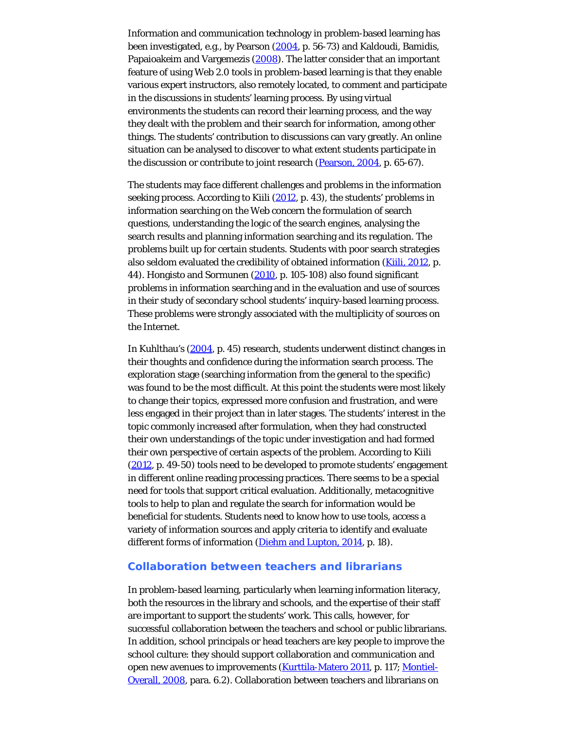Information and communication technology in problem-based learning has been investigated, e.g., by Pearson [\(2004](#page-23-0), p. 56-73) and Kaldoudi, Bamidis, Papaioakeim and Vargemezis [\(2008](#page-23-0)). The latter consider that an important feature of using Web 2.0 tools in problem-based learning is that they enable various expert instructors, also remotely located, to comment and participate in the discussions in students' learning process. By using virtual environments the students can record their learning process, and the way they dealt with the problem and their search for information, among other things. The students' contribution to discussions can vary greatly. An online situation can be analysed to discover to what extent students participate in the discussion or contribute to joint research ([Pearson, 2004](#page-23-0), p. 65-67).

The students may face different challenges and problems in the information seeking process. According to Kiili [\(2012](#page-23-0), p. 43), the students' problems in information searching on the Web concern the formulation of search questions, understanding the logic of the search engines, analysing the search results and planning information searching and its regulation. The problems built up for certain students. Students with poor search strategies also seldom evaluated the credibility of obtained information [\(Kiili, 2012](#page-23-0), p. 44). Hongisto and Sormunen [\(2010](#page-23-0), p. 105-108) also found significant problems in information searching and in the evaluation and use of sources in their study of secondary school students' inquiry-based learning process. These problems were strongly associated with the multiplicity of sources on the Internet.

In Kuhlthau's [\(2004](#page-23-0), p. 45) research, students underwent distinct changes in their thoughts and confidence during the information search process. The exploration stage (searching information from the general to the specific) was found to be the most difficult. At this point the students were most likely to change their topics, expressed more confusion and frustration, and were less engaged in their project than in later stages. The students' interest in the topic commonly increased after formulation, when they had constructed their own understandings of the topic under investigation and had formed their own perspective of certain aspects of the problem. According to Kiili [\(2012](#page-23-0), p. 49-50) tools need to be developed to promote students' engagement in different online reading processing practices. There seems to be a special need for tools that support critical evaluation. Additionally, metacognitive tools to help to plan and regulate the search for information would be beneficial for students. Students need to know how to use tools, access a variety of information sources and apply criteria to identify and evaluate different forms of information [\(Diehm and Lupton, 2014](#page-23-0), p. 18).

# **Collaboration between teachers and librarians**

In problem-based learning, particularly when learning information literacy, both the resources in the library and schools, and the expertise of their staff are important to support the students' work. This calls, however, for successful collaboration between the teachers and school or public librarians. In addition, school principals or head teachers are key people to improve the school culture: they should support collaboration and communication and open new avenues to improvements [\(Kurttila-Matero 2011](#page-23-0), p. 117; [Montiel-](#page-23-0)[Overall, 2008,](#page-23-0) para. 6.2). Collaboration between teachers and librarians on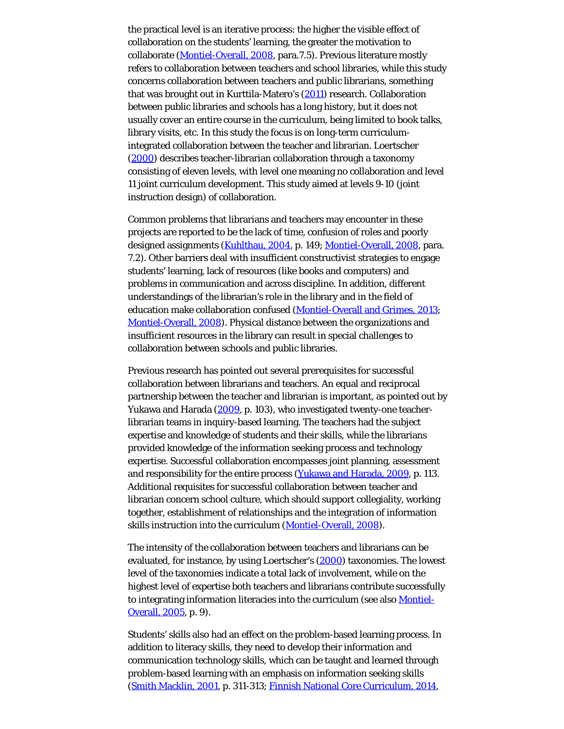the practical level is an iterative process: the higher the visible effect of collaboration on the students' learning, the greater the motivation to collaborate ([Montiel-Overall, 2008](#page-23-0), para.7.5). Previous literature mostly refers to collaboration between teachers and school libraries, while this study concerns collaboration between teachers and public librarians, something that was brought out in Kurttila-Matero's [\(2011](#page-23-0)) research. Collaboration between public libraries and schools has a long history, but it does not usually cover an entire course in the curriculum, being limited to book talks, library visits, etc. In this study the focus is on long-term curriculumintegrated collaboration between the teacher and librarian. Loertscher [\(2000](#page-23-0)) describes teacher-librarian collaboration through a taxonomy consisting of eleven levels, with level one meaning no collaboration and level 11 joint curriculum development. This study aimed at levels 9-10 (joint instruction design) of collaboration.

Common problems that librarians and teachers may encounter in these projects are reported to be the lack of time, confusion of roles and poorly designed assignments [\(Kuhlthau, 2004](#page-23-0), p. 149; [Montiel-Overall, 2008](#page-23-0), para. 7.2). Other barriers deal with insufficient constructivist strategies to engage students' learning, lack of resources (like books and computers) and problems in communication and across discipline. In addition, different understandings of the librarian's role in the library and in the field of education make collaboration confused [\(Montiel-Overall and Grimes, 2013](#page-23-0); [Montiel-Overall, 2008\)](#page-23-0). Physical distance between the organizations and insufficient resources in the library can result in special challenges to collaboration between schools and public libraries.

Previous research has pointed out several prerequisites for successful collaboration between librarians and teachers. An equal and reciprocal partnership between the teacher and librarian is important, as pointed out by Yukawa and Harada [\(2009](#page-23-6), p. 103), who investigated twenty-one teacherlibrarian teams in inquiry-based learning. The teachers had the subject expertise and knowledge of students and their skills, while the librarians provided knowledge of the information seeking process and technology expertise. Successful collaboration encompasses joint planning, assessment and responsibility for the entire process [\(Yukawa and Harada, 2009](#page-23-6), p. 113. Additional requisites for successful collaboration between teacher and librarian concern school culture, which should support collegiality, working together, establishment of relationships and the integration of information skills instruction into the curriculum [\(Montiel-Overall, 2008](#page-23-0)).

The intensity of the collaboration between teachers and librarians can be evaluated, for instance, by using Loertscher's [\(2000](#page-23-0)) taxonomies. The lowest level of the taxonomies indicate a total lack of involvement, while on the highest level of expertise both teachers and librarians contribute successfully to integrating information literacies into the curriculum (see also [Montiel-](#page-23-0)[Overall, 2005](#page-23-0), p. 9).

Students' skills also had an effect on the problem-based learning process. In addition to literacy skills, they need to develop their information and communication technology skills, which can be taught and learned through problem-based learning with an emphasis on information seeking skills [\(Smith Macklin, 2001](#page-23-0), p. 311-313; [Finnish National Core Curriculum, 2014](#page-23-0),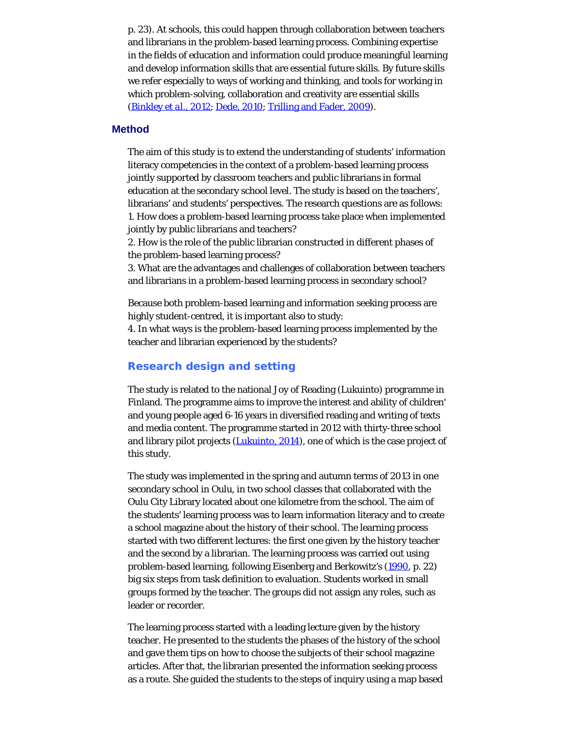p. 23). At schools, this could happen through collaboration between teachers and librarians in the problem-based learning process. Combining expertise in the fields of education and information could produce meaningful learning and develop information skills that are essential future skills. By future skills we refer especially to ways of working and thinking, and tools for working in which problem-solving, collaboration and creativity are essential skills [\(Binkley](#page-23-0) *[et al.](#page-23-0)*[, 2012](#page-23-0); [Dede, 2010](#page-23-0); [Trilling and Fader, 2009](#page-23-7)).

#### **Method**

The aim of this study is to extend the understanding of students' information literacy competencies in the context of a problem-based learning process jointly supported by classroom teachers and public librarians in formal education at the secondary school level. The study is based on the teachers', librarians' and students' perspectives. The research questions are as follows: 1. How does a problem-based learning process take place when implemented jointly by public librarians and teachers?

2. How is the role of the public librarian constructed in different phases of the problem-based learning process?

3. What are the advantages and challenges of collaboration between teachers and librarians in a problem-based learning process in secondary school?

Because both problem-based learning and information seeking process are highly student-centred, it is important also to study:

4. In what ways is the problem-based learning process implemented by the teacher and librarian experienced by the students?

#### **Research design and setting**

The study is related to the national Joy of Reading (Lukuinto) programme in Finland. The programme aims to improve the interest and ability of children' and young people aged 6-16 years in diversified reading and writing of texts and media content. The programme started in 2012 with thirty-three school and library pilot projects [\(Lukuinto, 2014](#page-23-0)), one of which is the case project of this study.

The study was implemented in the spring and autumn terms of 2013 in one secondary school in Oulu, in two school classes that collaborated with the Oulu City Library located about one kilometre from the school. The aim of the students' learning process was to learn information literacy and to create a school magazine about the history of their school. The learning process started with two different lectures: the first one given by the history teacher and the second by a librarian. The learning process was carried out using problem-based learning, following Eisenberg and Berkowitz's [\(1990](#page-23-0), p. 22) big six steps from task definition to evaluation. Students worked in small groups formed by the teacher. The groups did not assign any roles, such as leader or recorder.

The learning process started with a leading lecture given by the history teacher. He presented to the students the phases of the history of the school and gave them tips on how to choose the subjects of their school magazine articles. After that, the librarian presented the information seeking process as a route. She guided the students to the steps of inquiry using a map based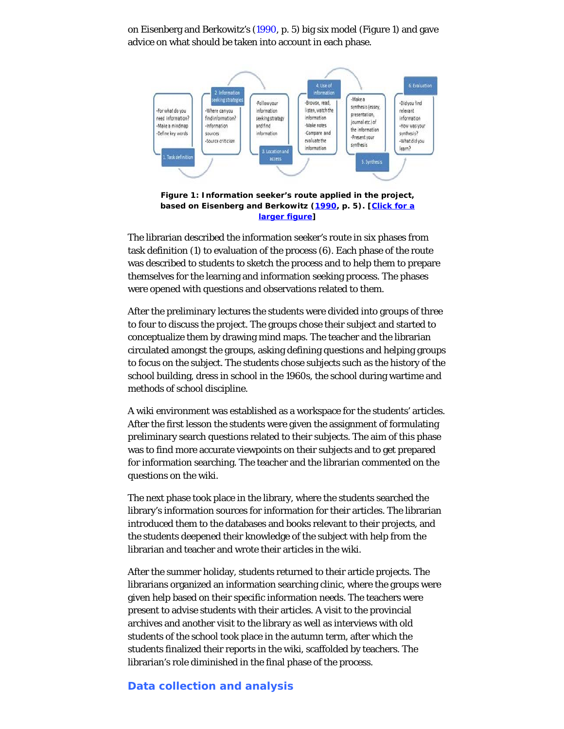on Eisenberg and Berkowitz's ([1990,](#page-23-0) p. 5) big six model (Figure 1) and gave advice on what should be taken into account in each phase.



**Figure 1: Information seeker's route applied in the project, based on Eisenberg and Berkowitz [\(1990](#page-23-0), p. 5). [[Click for a](http://www.informationr.net/ir/22-2/p755fig1a.jpg) [larger figure](http://www.informationr.net/ir/22-2/p755fig1a.jpg)]**

The librarian described the information seeker's route in six phases from task definition (1) to evaluation of the process (6). Each phase of the route was described to students to sketch the process and to help them to prepare themselves for the learning and information seeking process. The phases were opened with questions and observations related to them.

After the preliminary lectures the students were divided into groups of three to four to discuss the project. The groups chose their subject and started to conceptualize them by drawing mind maps. The teacher and the librarian circulated amongst the groups, asking defining questions and helping groups to focus on the subject. The students chose subjects such as the history of the school building, dress in school in the 1960s, the school during wartime and methods of school discipline.

A wiki environment was established as a workspace for the students' articles. After the first lesson the students were given the assignment of formulating preliminary search questions related to their subjects. The aim of this phase was to find more accurate viewpoints on their subjects and to get prepared for information searching. The teacher and the librarian commented on the questions on the wiki.

The next phase took place in the library, where the students searched the library's information sources for information for their articles. The librarian introduced them to the databases and books relevant to their projects, and the students deepened their knowledge of the subject with help from the librarian and teacher and wrote their articles in the wiki.

After the summer holiday, students returned to their article projects. The librarians organized an information searching clinic, where the groups were given help based on their specific information needs. The teachers were present to advise students with their articles. A visit to the provincial archives and another visit to the library as well as interviews with old students of the school took place in the autumn term, after which the students finalized their reports in the wiki, scaffolded by teachers. The librarian's role diminished in the final phase of the process.

# **Data collection and analysis**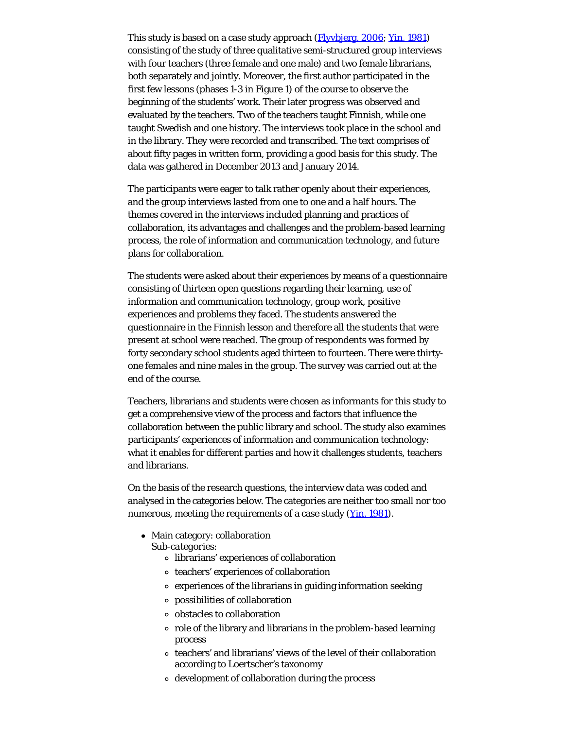This study is based on a case study approach (*Flyybierg, 2006; [Yin, 1981](#page-23-8)*) consisting of the study of three qualitative semi-structured group interviews with four teachers (three female and one male) and two female librarians, both separately and jointly. Moreover, the first author participated in the first few lessons (phases 1-3 in Figure 1) of the course to observe the beginning of the students' work. Their later progress was observed and evaluated by the teachers. Two of the teachers taught Finnish, while one taught Swedish and one history. The interviews took place in the school and in the library. They were recorded and transcribed. The text comprises of about fifty pages in written form, providing a good basis for this study. The data was gathered in December 2013 and January 2014.

The participants were eager to talk rather openly about their experiences, and the group interviews lasted from one to one and a half hours. The themes covered in the interviews included planning and practices of collaboration, its advantages and challenges and the problem-based learning process, the role of information and communication technology, and future plans for collaboration.

The students were asked about their experiences by means of a questionnaire consisting of thirteen open questions regarding their learning, use of information and communication technology, group work, positive experiences and problems they faced. The students answered the questionnaire in the Finnish lesson and therefore all the students that were present at school were reached. The group of respondents was formed by forty secondary school students aged thirteen to fourteen. There were thirtyone females and nine males in the group. The survey was carried out at the end of the course.

Teachers, librarians and students were chosen as informants for this study to get a comprehensive view of the process and factors that influence the collaboration between the public library and school. The study also examines participants' experiences of information and communication technology: what it enables for different parties and how it challenges students, teachers and librarians.

On the basis of the research questions, the interview data was coded and analysed in the categories below. The categories are neither too small nor too numerous, meeting the requirements of a case study [\(Yin, 1981](#page-23-8)).

- Main category: collaboration
	- *Sub-categories*:
		- librarians' experiences of collaboration
		- teachers' experiences of collaboration
		- experiences of the librarians in guiding information seeking
		- possibilities of collaboration
		- obstacles to collaboration
		- role of the library and librarians in the problem-based learning process
		- teachers' and librarians' views of the level of their collaboration according to Loertscher's taxonomy
		- development of collaboration during the process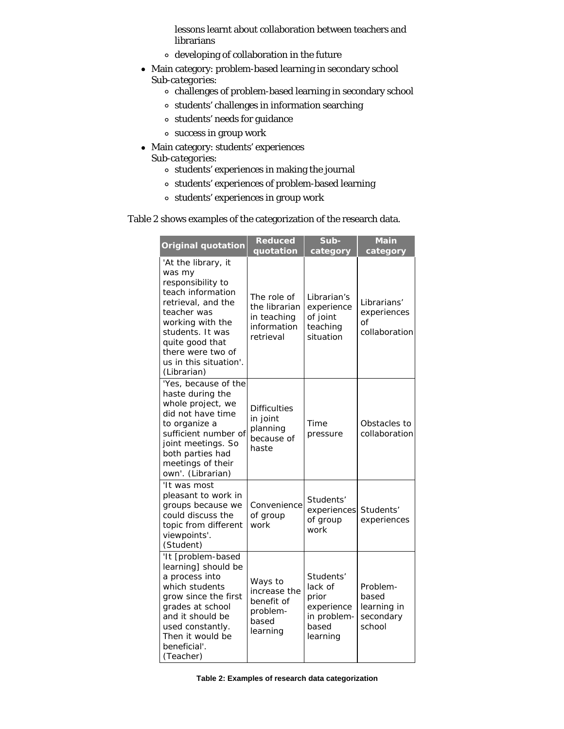lessons learnt about collaboration between teachers and librarians

- developing of collaboration in the future
- Main category: problem-based learning in secondary school *Sub-categories*:
	- $\circ~$ challenges of problem-based learning in secondary school
	- $\circ~$  students' challenges in information searching
	- students' needs for guidance
	- success in group work
- Main category: students' experiences *Sub-categories*:
	- students' experiences in making the journal
	- students' experiences of problem-based learning
	- students' experiences in group work

# Table 2 shows examples of the categorization of the research data.

| <b>Original quotation</b>                                                                                                                                                                                                             | <b>Reduced</b><br>quotation                                             | Sub-<br>category                                                                | Main<br>category                                        |
|---------------------------------------------------------------------------------------------------------------------------------------------------------------------------------------------------------------------------------------|-------------------------------------------------------------------------|---------------------------------------------------------------------------------|---------------------------------------------------------|
| 'At the library, it<br>was my<br>responsibility to<br>teach information<br>retrieval, and the<br>teacher was<br>working with the<br>students. It was<br>quite good that<br>there were two of<br>us in this situation'.<br>(Librarian) | The role of<br>the librarian<br>in teaching<br>information<br>retrieval | Librarian's<br>experience<br>of joint<br>teaching<br>situation                  | Librarians'<br>experiences<br>Ωf<br>collaboration       |
| 'Yes, because of the<br>haste during the<br>whole project, we<br>did not have time<br>to organize a<br>sufficient number of<br>joint meetings. So<br>both parties had<br>meetings of their<br>own'. (Librarian)                       | <b>Difficulties</b><br>in joint<br>planning<br>because of<br>haste      | Time<br>pressure                                                                | Obstacles to<br>collaboration                           |
| 'It was most<br>pleasant to work in<br>groups because we<br>could discuss the<br>topic from different<br>viewpoints'.<br>(Student)                                                                                                    | Convenience<br>of group<br>work                                         | Students'<br>experiences<br>of group<br>work                                    | Students'<br>experiences                                |
| 'It [problem-based<br>learning] should be<br>a process into<br>which students<br>grow since the first<br>grades at school<br>and it should be<br>used constantly.<br>Then it would be<br>beneficial'.<br>(Teacher)                    | Ways to<br>increase the<br>benefit of<br>problem-<br>based<br>learning  | Students'<br>lack of<br>prior<br>experience<br>in problem-<br>based<br>learning | Problem-<br>based<br>learning in<br>secondary<br>school |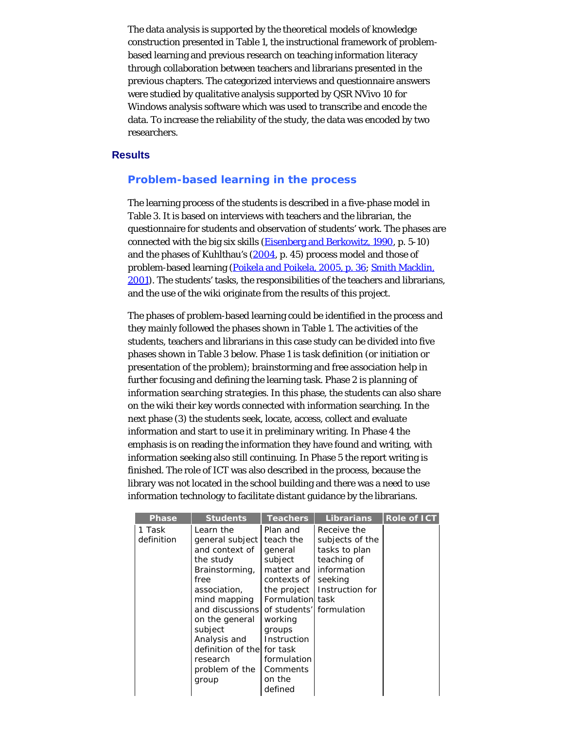The data analysis is supported by the theoretical models of knowledge construction presented in Table 1, the instructional framework of problembased learning and previous research on teaching information literacy through collaboration between teachers and librarians presented in the previous chapters. The categorized interviews and questionnaire answers were studied by qualitative analysis supported by QSR NVivo 10 for Windows analysis software which was used to transcribe and encode the data. To increase the reliability of the study, the data was encoded by two researchers.

#### **Results**

#### **Problem-based learning in the process**

The learning process of the students is described in a five-phase model in Table 3. It is based on interviews with teachers and the librarian, the questionnaire for students and observation of students' work. The phases are connected with the big six skills [\(Eisenberg and Berkowitz, 1990](#page-23-0), p. 5-10) and the phases of Kuhlthau's  $(2004, p. 45)$  $(2004, p. 45)$  process model and those of problem-based learning [\(Poikela and Poikela, 2005, p. 36](#page-23-0); [Smith Macklin,](#page-23-0) [2001](#page-23-0)). The students' tasks, the responsibilities of the teachers and librarians, and the use of the wiki originate from the results of this project.

The phases of problem-based learning could be identified in the process and they mainly followed the phases shown in Table 1. The activities of the students, teachers and librarians in this case study can be divided into five phases shown in Table 3 below. Phase 1 is *task definition* (or initiation or presentation of the problem); brainstorming and free association help in further focusing and defining the learning task. Phase 2 is *planning of information searching strategies*. In this phase, the students can also share on the wiki their key words connected with information searching. In the next phase (3) the students seek, locate, access, collect and evaluate information and start to use it in preliminary writing. In Phase 4 the emphasis is on reading the information they have found and writing, with information seeking also still continuing. In Phase 5 the report writing is finished. The role of ICT was also described in the process, because the library was not located in the school building and there was a need to use information technology to facilitate distant guidance by the librarians.

| <b>Phase</b>         | <b>Students</b>                                                                                                                                                                                                                                             | <b>Teachers</b>                                                                                                                                                                                                              | Librarians                                                                                                  | <b>Role of ICT</b> |
|----------------------|-------------------------------------------------------------------------------------------------------------------------------------------------------------------------------------------------------------------------------------------------------------|------------------------------------------------------------------------------------------------------------------------------------------------------------------------------------------------------------------------------|-------------------------------------------------------------------------------------------------------------|--------------------|
| 1 Task<br>definition | Learn the<br>general subject<br>and context of<br>the study<br>Brainstorming,<br>free<br>association,<br>mind mapping<br>and discussions<br>on the general<br>subject<br>Analysis and<br>definition of thel for task<br>research<br>problem of the<br>group | Plan and<br>teach the<br>general<br>subject<br>matter and<br>contexts of<br>the project<br>Formulation task<br>of students'l formulation<br>working<br>groups<br>Instruction<br>formulation<br>Comments<br>on the<br>defined | Receive the<br>subjects of the<br>tasks to plan<br>teaching of<br>information<br>seeking<br>Instruction for |                    |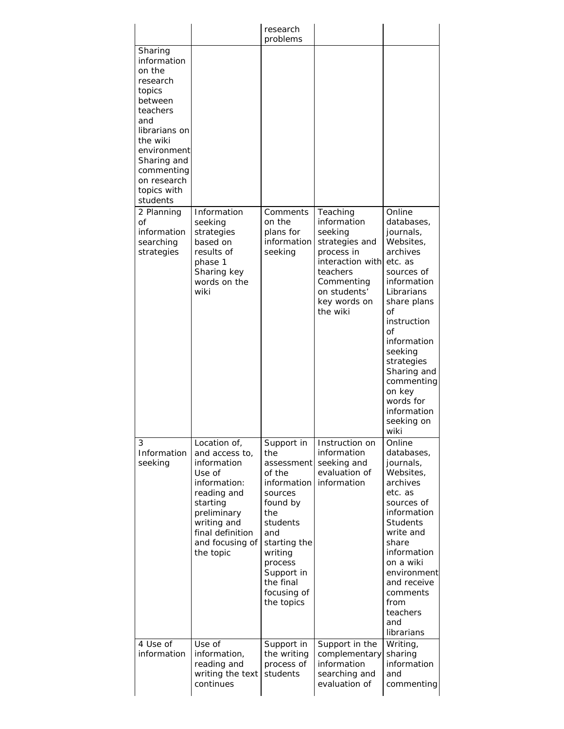|                                                                                                                                                                                                         |                                                                                                                                                                                      | research                                                                                                                                                                                                |                                                                                                                                                              |                                                                                                                                                                                                                                                                                             |
|---------------------------------------------------------------------------------------------------------------------------------------------------------------------------------------------------------|--------------------------------------------------------------------------------------------------------------------------------------------------------------------------------------|---------------------------------------------------------------------------------------------------------------------------------------------------------------------------------------------------------|--------------------------------------------------------------------------------------------------------------------------------------------------------------|---------------------------------------------------------------------------------------------------------------------------------------------------------------------------------------------------------------------------------------------------------------------------------------------|
| Sharing<br>information<br>on the<br>research<br>topics<br>between<br>teachers<br>and<br>librarians on<br>the wiki<br>environment<br>Sharing and<br>commenting<br>on research<br>topics with<br>students |                                                                                                                                                                                      | problems                                                                                                                                                                                                |                                                                                                                                                              |                                                                                                                                                                                                                                                                                             |
| 2 Planning<br>Οf<br>information<br>searching<br>strategies                                                                                                                                              | Information<br>seeking<br>strategies<br>based on<br>results of<br>phase 1<br>Sharing key<br>words on the<br>wiki                                                                     | Comments<br>on the<br>plans for<br>information<br>seeking                                                                                                                                               | Teaching<br>information<br>seeking<br>strategies and<br>process in<br>interaction with<br>teachers<br>Commenting<br>on students'<br>key words on<br>the wiki | Online<br>databases,<br>journals,<br>Websites,<br>archives<br>etc. as<br>sources of<br>information<br>Librarians<br>share plans<br>Οf<br>instruction<br>οf<br>information<br>seeking<br>strategies<br>Sharing and<br>commenting<br>on key<br>words for<br>information<br>seeking on<br>wiki |
| 3<br>Information<br>seeking                                                                                                                                                                             | Location of,<br>and access to,<br>information<br>Use of<br>information:<br>reading and<br>starting<br>preliminary<br>writing and<br>final definition<br>and focusing of<br>the topic | Support in<br>the<br>assessment<br>of the<br>information<br>sources<br>found by<br>the<br>students<br>and<br>starting the<br>writing<br>process<br>Support in<br>the final<br>focusing of<br>the topics | Instruction on<br>information<br>seeking and<br>evaluation of<br>information                                                                                 | Online<br>databases,<br>journals,<br>Websites,<br>archives<br>etc. as<br>sources of<br>information<br><b>Students</b><br>write and<br>share<br>information<br>on a wiki<br>environment<br>and receive<br>comments<br>from<br>teachers<br>and<br>librarians                                  |
| 4 Use of<br>information                                                                                                                                                                                 | Use of<br>information,<br>reading and<br>writing the text<br>continues                                                                                                               | Support in<br>the writing<br>process of<br>students                                                                                                                                                     | Support in the<br>complementary<br>information<br>searching and<br>evaluation of                                                                             | Writing,<br>sharing<br>information<br>and<br>commenting                                                                                                                                                                                                                                     |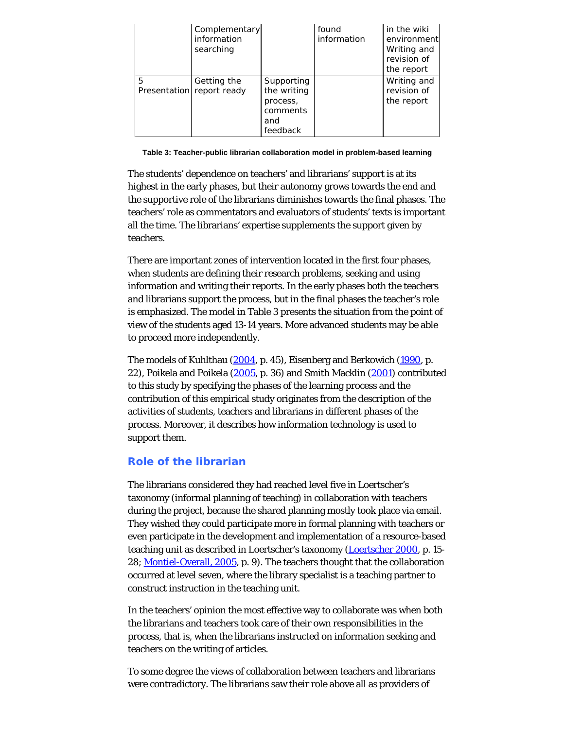|   | Complementary<br>information<br>searching |                                                                      | found<br>information | in the wiki<br>environment<br>Writing and<br>revision of<br>the report |
|---|-------------------------------------------|----------------------------------------------------------------------|----------------------|------------------------------------------------------------------------|
| 5 | Getting the<br>Presentation report ready  | Supporting<br>the writing<br>process,<br>comments<br>and<br>feedback |                      | Writing and<br>revision of<br>the report                               |

**Table 3: Teacher-public librarian collaboration model in problem-based learning**

The students' dependence on teachers' and librarians' support is at its highest in the early phases, but their autonomy grows towards the end and the supportive role of the librarians diminishes towards the final phases. The teachers' role as commentators and evaluators of students' texts is important all the time. The librarians' expertise supplements the support given by teachers.

There are important zones of intervention located in the first four phases, when students are defining their research problems, seeking and using information and writing their reports. In the early phases both the teachers and librarians support the process, but in the final phases the teacher's role is emphasized. The model in Table 3 presents the situation from the point of view of the students aged 13-14 years. More advanced students may be able to proceed more independently.

The models of Kuhlthau [\(2004](#page-23-0), p. 45), Eisenberg and Berkowich [\(1990](#page-23-0), p. 22), Poikela and Poikela [\(2005](#page-23-0), p. 36) and Smith Macklin [\(2001](#page-23-0)) contributed to this study by specifying the phases of the learning process and the contribution of this empirical study originates from the description of the activities of students, teachers and librarians in different phases of the process. Moreover, it describes how information technology is used to support them.

# **Role of the librarian**

The librarians considered they had reached level five in Loertscher's taxonomy (informal planning of teaching) in collaboration with teachers during the project, because the shared planning mostly took place via email. They wished they could participate more in formal planning with teachers or even participate in the development and implementation of a resource-based teaching unit as described in Loertscher's taxonomy [\(Loertscher 2000](#page-23-0), p. 15- 28; [Montiel-Overall, 2005](#page-23-0), p. 9). The teachers thought that the collaboration occurred at level seven, where the library specialist is a teaching partner to construct instruction in the teaching unit.

In the teachers' opinion the most effective way to collaborate was when both the librarians and teachers took care of their own responsibilities in the process, that is, when the librarians instructed on information seeking and teachers on the writing of articles.

To some degree the views of collaboration between teachers and librarians were contradictory. The librarians saw their role above all as providers of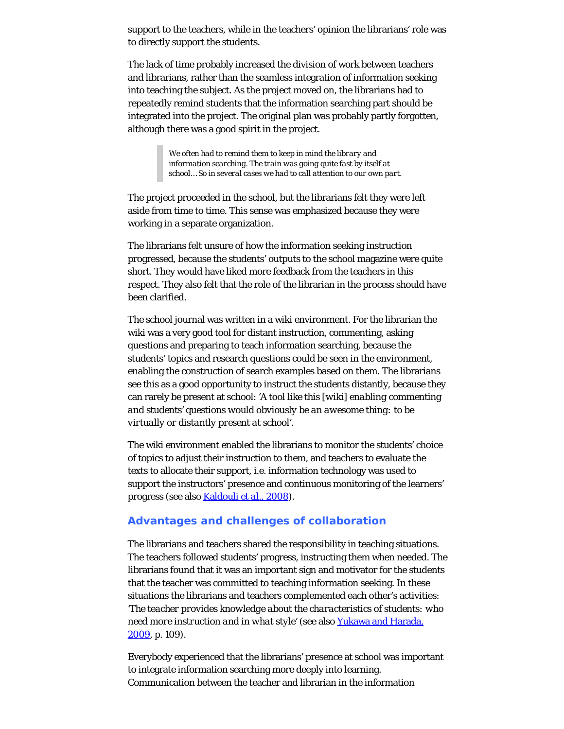support to the teachers, while in the teachers' opinion the librarians' role was to directly support the students.

The lack of time probably increased the division of work between teachers and librarians, rather than the seamless integration of information seeking into teaching the subject. As the project moved on, the librarians had to repeatedly remind students that the information searching part should be integrated into the project. The original plan was probably partly forgotten, although there was a good spirit in the project.

> *We often had to remind them to keep in mind the library and information searching. The train was going quite fast by itself at school… So in several cases we had to call attention to our own part.*

The project proceeded in the school, but the librarians felt they were left aside from time to time. This sense was emphasized because they were working in a separate organization.

The librarians felt unsure of how the information seeking instruction progressed, because the students' outputs to the school magazine were quite short. They would have liked more feedback from the teachers in this respect. They also felt that the role of the librarian in the process should have been clarified.

The school journal was written in a wiki environment. For the librarian the wiki was a very good tool for distant instruction, commenting, asking questions and preparing to teach information searching, because the students' topics and research questions could be seen in the environment, enabling the construction of search examples based on them. The librarians see this as a good opportunity to instruct the students distantly, because they can rarely be present at school: *'A tool like this [wiki] enabling commenting and students' questions would obviously be an awesome thing: to be virtually or distantly present at school'.*

The wiki environment enabled the librarians to monitor the students' choice of topics to adjust their instruction to them, and teachers to evaluate the texts to allocate their support, i.e. information technology was used to support the instructors' presence and continuous monitoring of the learners' progress (see also [Kaldouli](#page-23-0) *[et al.](#page-23-0)*[, 2008](#page-23-0)).

# **Advantages and challenges of collaboration**

The librarians and teachers shared the responsibility in teaching situations. The teachers followed students' progress, instructing them when needed. The librarians found that it was an important sign and motivator for the students that the teacher was committed to teaching information seeking. In these situations the librarians and teachers complemented each other's activities: *'The teacher provides knowledge about the characteristics of students: who need more instruction and in what style'* (see also [Yukawa and Harada,](#page-23-6) [2009,](#page-23-6) p. 109).

Everybody experienced that the librarians' presence at school was important to integrate information searching more deeply into learning. Communication between the teacher and librarian in the information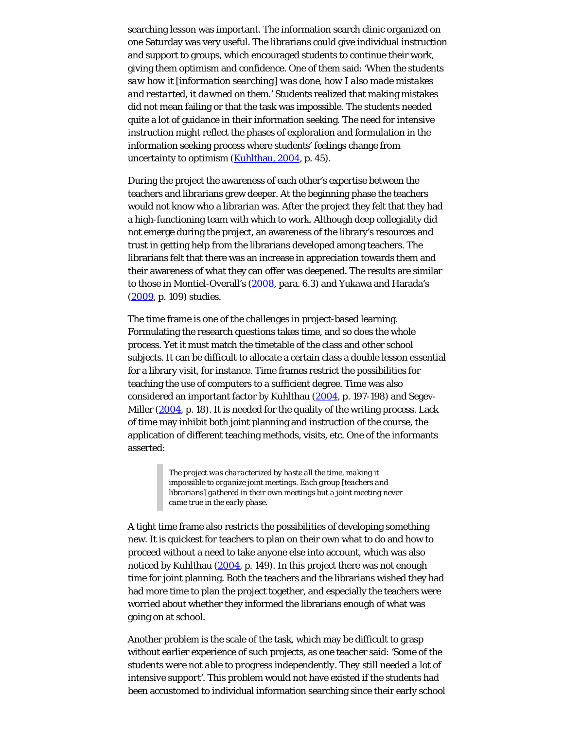searching lesson was important. The information search clinic organized on one Saturday was very useful. The librarians could give individual instruction and support to groups, which encouraged students to continue their work, giving them optimism and confidence. One of them said: *'When the students saw how it [information searching] was done, how I also made mistakes and restarted, it dawned on them.'* Students realized that making mistakes did not mean failing or that the task was impossible. The students needed quite a lot of guidance in their information seeking. The need for intensive instruction might reflect the phases of exploration and formulation in the information seeking process where students' feelings change from uncertainty to optimism [\(Kuhlthau, 2004](#page-23-0), p. 45).

During the project the awareness of each other's expertise between the teachers and librarians grew deeper. At the beginning phase the teachers would not know who a librarian was. After the project they felt that they had a high-functioning team with which to work. Although deep collegiality did not emerge during the project, an awareness of the library's resources and trust in getting help from the librarians developed among teachers. The librarians felt that there was an increase in appreciation towards them and their awareness of what they can offer was deepened. The results are similar to those in Montiel-Overall's [\(2008](#page-23-0), para. 6.3) and Yukawa and Harada's [\(2009](#page-23-6), p. 109) studies.

The time frame is one of the challenges in project-based learning. Formulating the research questions takes time, and so does the whole process. Yet it must match the timetable of the class and other school subjects. It can be difficult to allocate a certain class a double lesson essential for a library visit, for instance. Time frames restrict the possibilities for teaching the use of computers to a sufficient degree. Time was also considered an important factor by Kuhlthau ([2004,](#page-23-0) p. 197-198) and Segev-Miller [\(2004](#page-23-0), p. 18). It is needed for the quality of the writing process. Lack of time may inhibit both joint planning and instruction of the course, the application of different teaching methods, visits, etc. One of the informants asserted:

> *The project was characterized by haste all the time, making it impossible to organize joint meetings. Each group [teachers and librarians] gathered in their own meetings but a joint meeting never came true in the early phase.*

A tight time frame also restricts the possibilities of developing something new. It is quickest for teachers to plan on their own what to do and how to proceed without a need to take anyone else into account, which was also noticed by Kuhlthau [\(2004](#page-23-0), p. 149). In this project there was not enough time for joint planning. Both the teachers and the librarians wished they had had more time to plan the project together, and especially the teachers were worried about whether they informed the librarians enough of what was going on at school.

Another problem is the scale of the task, which may be difficult to grasp without earlier experience of such projects, as one teacher said: *'Some of the students were not able to progress independently. They still needed a lot of intensive support'.* This problem would not have existed if the students had been accustomed to individual information searching since their early school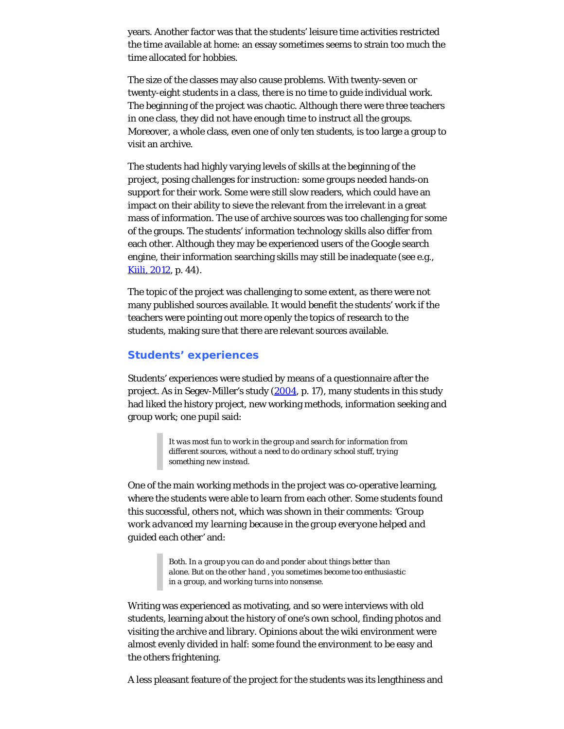years. Another factor was that the students' leisure time activities restricted the time available at home: an essay sometimes seems to strain too much the time allocated for hobbies.

The size of the classes may also cause problems. With twenty-seven or twenty-eight students in a class, there is no time to guide individual work. The beginning of the project was chaotic. Although there were three teachers in one class, they did not have enough time to instruct all the groups. Moreover, a whole class, even one of only ten students, is too large a group to visit an archive.

The students had highly varying levels of skills at the beginning of the project, posing challenges for instruction: some groups needed hands-on support for their work. Some were still slow readers, which could have an impact on their ability to sieve the relevant from the irrelevant in a great mass of information. The use of archive sources was too challenging for some of the groups. The students' information technology skills also differ from each other. Although they may be experienced users of the Google search engine, their information searching skills may still be inadequate (see e.g., [Kiili, 2012,](#page-23-0) p. 44).

The topic of the project was challenging to some extent, as there were not many published sources available. It would benefit the students' work if the teachers were pointing out more openly the topics of research to the students, making sure that there are relevant sources available.

# **Students' experiences**

Students' experiences were studied by means of a questionnaire after the project. As in Segev-Miller's study [\(2004](#page-23-0), p. 17), many students in this study had liked the history project, new working methods, information seeking and group work; one pupil said:

> *It was most fun to work in the group and search for information from different sources, without a need to do ordinary school stuff, trying something new instead.*

One of the main working methods in the project was co-operative learning, where the students were able to learn from each other. Some students found this successful, others not, which was shown in their comments: *'Group work advanced my learning because in the group everyone helped and guided each other'* and:

> *Both. In a group you can do and ponder about things better than alone. But on the other hand , you sometimes become too enthusiastic in a group, and working turns into nonsense.*

Writing was experienced as motivating, and so were interviews with old students, learning about the history of one's own school, finding photos and visiting the archive and library. Opinions about the wiki environment were almost evenly divided in half: some found the environment to be easy and the others frightening.

A less pleasant feature of the project for the students was its lengthiness and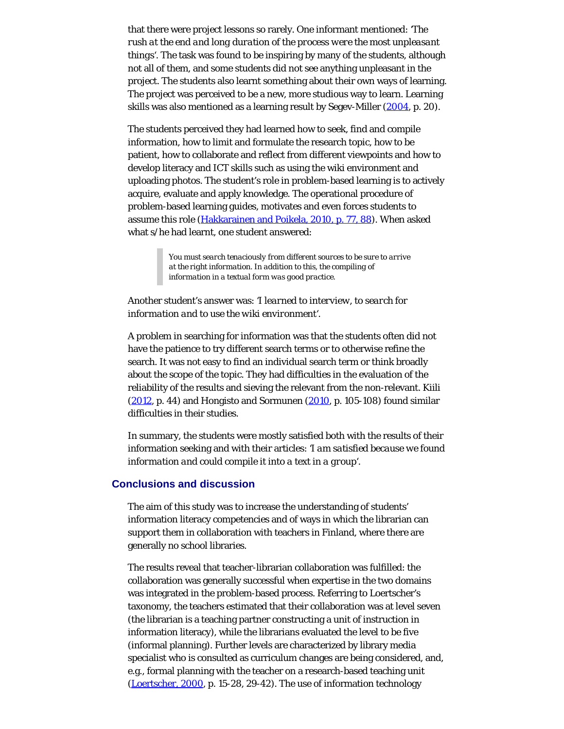that there were project lessons so rarely. One informant mentioned: *'The rush at the end and long duration of the process were the most unpleasant things'*. The task was found to be inspiring by many of the students, although not all of them, and some students did not see anything unpleasant in the project. The students also learnt something about their own ways of learning. The project was perceived to be a new, more studious way to learn. Learning skills was also mentioned as a learning result by Segev-Miller [\(2004](#page-23-0), p. 20).

The students perceived they had learned how to seek, find and compile information, how to limit and formulate the research topic, how to be patient, how to collaborate and reflect from different viewpoints and how to develop literacy and ICT skills such as using the wiki environment and uploading photos. The student's role in problem-based learning is to actively acquire, evaluate and apply knowledge. The operational procedure of problem-based learning guides, motivates and even forces students to assume this role ([Hakkarainen and Poikela, 2010, p. 77, 88](#page-23-0)). When asked what s/he had learnt, one student answered:

> *You must search tenaciously from different sources to be sure to arrive at the right information. In addition to this, the compiling of information in a textual form was good practice.*

# Another student's answer was: *'I learned to interview, to search for information and to use the wiki environment'.*

A problem in searching for information was that the students often did not have the patience to try different search terms or to otherwise refine the search. It was not easy to find an individual search term or think broadly about the scope of the topic. They had difficulties in the evaluation of the reliability of the results and sieving the relevant from the non-relevant. Kiili  $(2012, p. 44)$  $(2012, p. 44)$  and Hongisto and Sormunen  $(2010, p. 105-108)$  $(2010, p. 105-108)$  found similar difficulties in their studies.

In summary, the students were mostly satisfied both with the results of their information seeking and with their articles: *'I am satisfied because we found information and could compile it into a text in a group'.*

# **Conclusions and discussion**

The aim of this study was to increase the understanding of students' information literacy competencies and of ways in which the librarian can support them in collaboration with teachers in Finland, where there are generally no school libraries.

The results reveal that teacher-librarian collaboration was fulfilled: the collaboration was generally successful when expertise in the two domains was integrated in the problem-based process. Referring to Loertscher's taxonomy, the teachers estimated that their collaboration was at level seven (the librarian is a teaching partner constructing a unit of instruction in information literacy), while the librarians evaluated the level to be five (informal planning). Further levels are characterized by library media specialist who is consulted as curriculum changes are being considered, and, e.g., formal planning with the teacher on a research-based teaching unit [\(Loertscher, 2000](#page-23-0), p. 15-28, 29-42). The use of information technology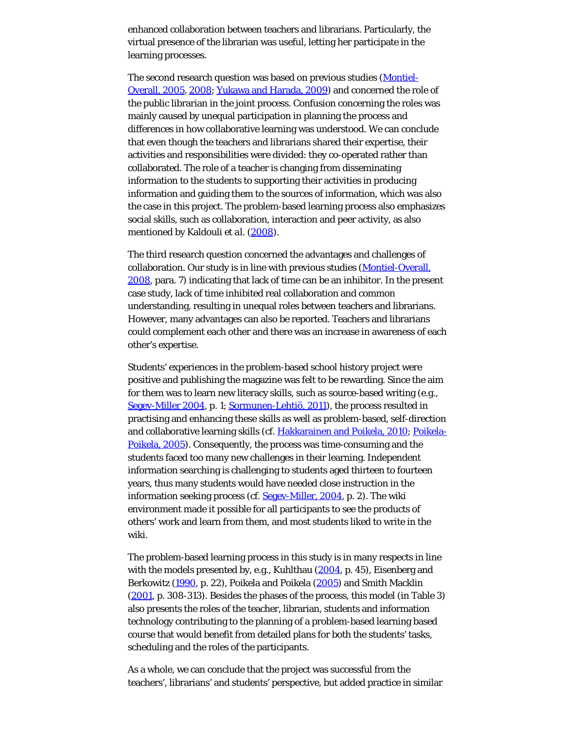enhanced collaboration between teachers and librarians. Particularly, the virtual presence of the librarian was useful, letting her participate in the learning processes.

The second research question was based on previous studies [\(Montiel-](#page-23-0)[Overall, 2005](#page-23-0), [2008](#page-23-0); [Yukawa and Harada, 2009](#page-23-6)) and concerned the role of the public librarian in the joint process. Confusion concerning the roles was mainly caused by unequal participation in planning the process and differences in how collaborative learning was understood. We can conclude that even though the teachers and librarians shared their expertise, their activities and responsibilities were divided: they co-operated rather than collaborated. The role of a teacher is changing from disseminating information to the students to supporting their activities in producing information and guiding them to the sources of information, which was also the case in this project. The problem-based learning process also emphasizes social skills, such as collaboration, interaction and peer activity, as also mentioned by Kaldouli *et al.* [\(2008](#page-23-0)).

The third research question concerned the advantages and challenges of collaboration. Our study is in line with previous studies [\(Montiel-Overall,](#page-23-0) [2008,](#page-23-0) para. 7) indicating that lack of time can be an inhibitor. In the present case study, lack of time inhibited real collaboration and common understanding, resulting in unequal roles between teachers and librarians. However, many advantages can also be reported. Teachers and librarians could complement each other and there was an increase in awareness of each other's expertise.

Students' experiences in the problem-based school history project were positive and publishing the magazine was felt to be rewarding. Since the aim for them was to learn new literacy skills, such as source-based writing (e.g., [Segev-Miller 2004](#page-23-0), p. 1; [Sormunen-Lehtiö, 2011](#page-23-3)), the process resulted in practising and enhancing these skills as well as problem-based, self-direction and collaborative learning skills (cf. [Hakkarainen and Poikela, 2010](#page-23-0); [Poikela-](#page-23-0)[Poikela, 2005\)](#page-23-0). Consequently, the process was time-consuming and the students faced too many new challenges in their learning. Independent information searching is challenging to students aged thirteen to fourteen years, thus many students would have needed close instruction in the information seeking process (cf. [Segev-Miller, 2004](#page-23-0), p. 2). The wiki environment made it possible for all participants to see the products of others' work and learn from them, and most students liked to write in the wiki.

The problem-based learning process in this study is in many respects in line with the models presented by, e.g., Kuhlthau  $(2004, p. 45)$  $(2004, p. 45)$ , Eisenberg and Berkowitz [\(1990](#page-23-0), p. 22), Poikela and Poikela [\(2005](#page-23-0)) and Smith Macklin [\(2001](#page-23-0), p. 308-313). Besides the phases of the process, this model (in Table 3) also presents the roles of the teacher, librarian, students and information technology contributing to the planning of a problem-based learning based course that would benefit from detailed plans for both the students' tasks, scheduling and the roles of the participants.

As a whole, we can conclude that the project was successful from the teachers', librarians' and students' perspective, but added practice in similar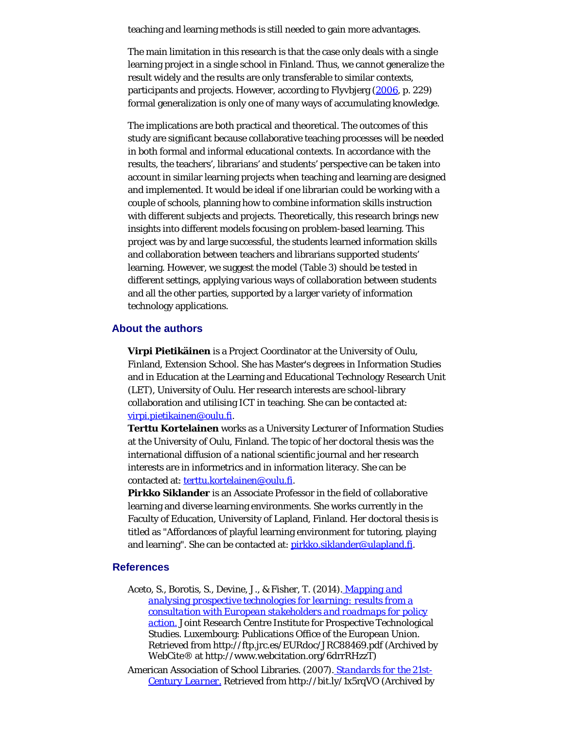teaching and learning methods is still needed to gain more advantages.

The main limitation in this research is that the case only deals with a single learning project in a single school in Finland. Thus, we cannot generalize the result widely and the results are only transferable to similar contexts, participants and projects. However, according to Flyvbjerg [\(2006](#page-23-0), p. 229) formal generalization is only one of many ways of accumulating knowledge.

The implications are both practical and theoretical. The outcomes of this study are significant because collaborative teaching processes will be needed in both formal and informal educational contexts. In accordance with the results, the teachers', librarians' and students' perspective can be taken into account in similar learning projects when teaching and learning are designed and implemented. It would be ideal if one librarian could be working with a couple of schools, planning how to combine information skills instruction with different subjects and projects. Theoretically, this research brings new insights into different models focusing on problem-based learning. This project was by and large successful, the students learned information skills and collaboration between teachers and librarians supported students' learning. However, we suggest the model (Table 3) should be tested in different settings, applying various ways of collaboration between students and all the other parties, supported by a larger variety of information technology applications.

#### <span id="page-19-0"></span>**About the authors**

**Virpi Pietikäinen** is a Project Coordinator at the University of Oulu, Finland, Extension School. She has Master's degrees in Information Studies and in Education at the Learning and Educational Technology Research Unit (LET), University of Oulu. Her research interests are school-library collaboration and utilising ICT in teaching. She can be contacted at: [virpi.pietikainen@oulu.fi.](mailto:virpi.pietikainen@oulu.fi)

**Terttu Kortelainen** works as a University Lecturer of Information Studies at the University of Oulu, Finland. The topic of her doctoral thesis was the international diffusion of a national scientific journal and her research interests are in informetrics and in information literacy. She can be contacted at: [terttu.kortelainen@oulu.fi](mailto:terttu.kortelainen@oulu.fi).

**Pirkko Siklander** is an Associate Professor in the field of collaborative learning and diverse learning environments. She works currently in the Faculty of Education, University of Lapland, Finland. Her doctoral thesis is titled as "Affordances of playful learning environment for tutoring, playing and learning". She can be contacted at: [pirkko.siklander@ulapland.fi.](mailto:pirkko.siklander@ulapland.fi)

# **References**

Aceto, S., Borotis, S., Devine, J., & Fisher, T. (2014). *[Mapping and](http://www.webcitation.org/6drrRHzzT) [analysing prospective technologies for learning: results from a](http://www.webcitation.org/6drrRHzzT) [consultation with European stakeholders and roadmaps for policy](http://www.webcitation.org/6drrRHzzT) [action.](http://www.webcitation.org/6drrRHzzT)* Joint Research Centre Institute for Prospective Technological Studies. Luxembourg: Publications Office of the European Union. Retrieved from http://ftp.jrc.es/EURdoc/JRC88469.pdf (Archived by WebCite® at http://www.webcitation.org/6drrRHzzT)

American Association of School Libraries. (2007). *[Standards for the 21st-](http://www.webcitation.org/6drrZrgDa)[Century Learner.](http://www.webcitation.org/6drrZrgDa)* Retrieved from http://bit.ly/1x5rqVO (Archived by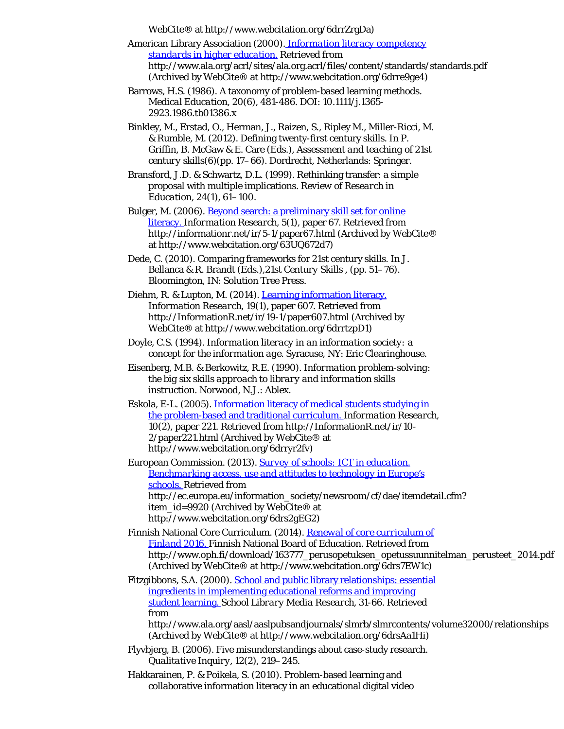WebCite® at http://www.webcitation.org/6drrZrgDa)

American Library Association (2000). *[Information literacy competency](http://www.webcitation.org/6drre9ge4) [standards in higher education.](http://www.webcitation.org/6drre9ge4)* Retrieved from http://www.ala.org/acrl/sites/ala.org.acrl/files/content/standards/standards.pdf (Archived by WebCite® at http://www.webcitation.org/6drre9ge4)

Barrows, H.S. (1986). A taxonomy of problem-based learning methods. *Medical Education, 20*(6), 481-486. DOI: 10.1111/j.1365- 2923.1986.tb01386.x

Binkley, M., Erstad, O., Herman, J., Raizen, S., Ripley M., Miller-Ricci, M. & Rumble, M. (2012). Defining twenty-first century skills. In P. Griffin, B. McGaw & E. Care (Eds.), *Assessment and teaching of 21st century skills*(6)(pp. 17–66). Dordrecht, Netherlands: Springer.

Bransford, J.D. & Schwartz, D.L. (1999). Rethinking transfer: a simple proposal with multiple implications. *Review of Research in Education, 24*(1), 61–100.

Bulger, M. (2006). [Beyond search: a preliminary skill set for online](http://www.webcitation.org/63UQ672d7) [literacy.](http://www.webcitation.org/63UQ672d7) *Information Research, 5*(1), paper 67. Retrieved from http://informationr.net/ir/5-1/paper67.html (Archived by WebCite® at http://www.webcitation.org/63UQ672d7)

Dede, C. (2010). Comparing frameworks for 21st century skills. In J. Bellanca & R. Brandt (Eds.),*21st Century Skills* , (pp. 51–76). Bloomington, IN: Solution Tree Press.

Diehm, R. & Lupton, M. (2014). [Learning information literacy.](http://www.webcitation.org/6drrtzpD1) *Information Research, 19*(1), paper 607. Retrieved from http://InformationR.net/ir/19-1/paper607.html (Archived by WebCite® at http://www.webcitation.org/6drrtzpD1)

Doyle, C.S. (1994). *Information literacy in an information society: a concept for the information age.* Syracuse, NY: Eric Clearinghouse.

Eisenberg, M.B. & Berkowitz, R.E. (1990). *Information problem-solving: the big six skills approach to library and information skills instruction.* Norwood, N.J.: Ablex.

Eskola, E-L. (2005). [Information literacy of medical students studying in](http://www.webcitation.org/6drryr2fv) [the problem-based and traditional curriculum.](http://www.webcitation.org/6drryr2fv) *Information Research, 10*(2), paper 221. Retrieved from http://InformationR.net/ir/10- 2/paper221.html (Archived by WebCite® at http://www.webcitation.org/6drryr2fv)

European Commission. (2013). *[Survey of schools: ICT in education.](http://www.webcitation.org/6drs2gEG2) [Benchmarking access, use and attitudes to technology in Europe's](http://www.webcitation.org/6drs2gEG2) [schools.](http://www.webcitation.org/6drs2gEG2)* Retrieved from http://ec.europa.eu/information\_society/newsroom/cf/dae/itemdetail.cfm? item\_id=9920 (Archived by WebCite® at http://www.webcitation.org/6drs2gEG2)

Finnish National Core Curriculum. (2014). *[Renewal of core curriculum of](http://www.webcitation.org/6drs7EW1c) [Finland 2016.](http://www.webcitation.org/6drs7EW1c)* Finnish National Board of Education. Retrieved from http://www.oph.fi/download/163777\_perusopetuksen\_opetussuunnitelman\_perusteet\_2014.pdf (Archived by WebCite® at http://www.webcitation.org/6drs7EW1c)

Fitzgibbons, S.A. (2000). [School and public library relationships: essential](http://www.webcitation.org/6drsAa1Hi) [ingredients in implementing educational reforms and improving](http://www.webcitation.org/6drsAa1Hi) [student learning.](http://www.webcitation.org/6drsAa1Hi) *School Library Media Research, 3*1-66. Retrieved from

http://www.ala.org/aasl/aaslpubsandjournals/slmrb/slmrcontents/volume32000/relationships (Archived by WebCite® at http://www.webcitation.org/6drsAa1Hi)

Flyvbjerg, B. (2006). Five misunderstandings about case-study research. *Qualitative Inquiry, 12*(2), 219–245.

Hakkarainen, P. & Poikela, S. (2010). Problem-based learning and collaborative information literacy in an educational digital video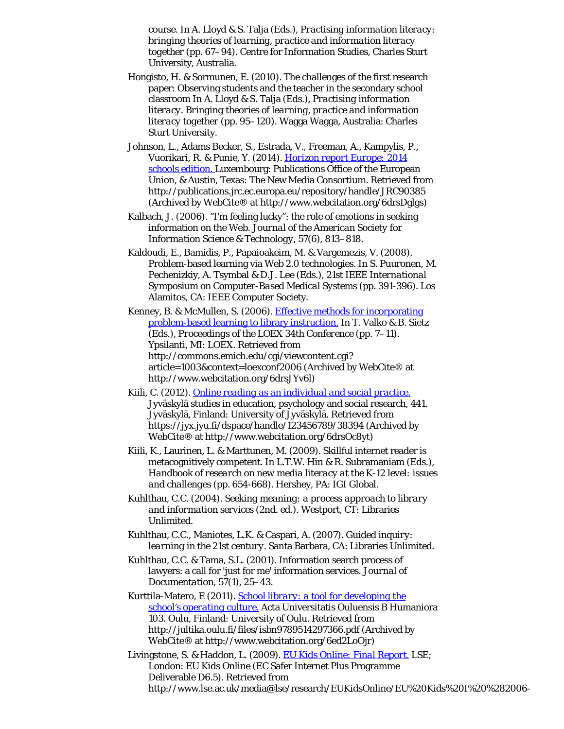course. In A. Lloyd & S. Talja (Eds.), *Practising information literacy: bringing theories of learning, practice and information literacy together* (pp. 67–94). Centre for Information Studies, Charles Sturt University, Australia.

- Hongisto, H. & Sormunen, E. (2010). The challenges of the first research paper: Observing students and the teacher in the secondary school classroom In A. Lloyd & S. Talja (Eds.), *Practising information literacy. Bringing theories of learning, practice and information literacy together* (pp. 95–120). Wagga Wagga, Australia: Charles Sturt University.
- Johnson, L., Adams Becker, S., Estrada, V., Freeman, A., Kampylis, P., Vuorikari, R. & Punie, Y. (2014). *[Horizon report Europe: 2014](http://www.webcitation.org/6drsDglgs) [schools edition.](http://www.webcitation.org/6drsDglgs)* Luxembourg: Publications Office of the European Union, & Austin, Texas: The New Media Consortium. Retrieved from http://publications.jrc.ec.europa.eu/repository/handle/JRC90385 (Archived by WebCite® at http://www.webcitation.org/6drsDglgs)
- Kalbach, J. (2006). "I'm feeling lucky": the role of emotions in seeking information on the Web. *Journal of the American Society for Information Science & Technology, 57*(6), 813–818.
- Kaldoudi, E., Bamidis, P., Papaioakeim, M. & Vargemezis, V. (2008). Problem-based learning via Web 2.0 technologies. In S. Puuronen, M. Pechenizkiy, A. Tsymbal & D.J. Lee (Eds.), *21st IEEE International Symposium on Computer-Based Medical Systems* (pp. 391-396). Los Alamitos, CA: IEEE Computer Society.
- Kenney, B. & McMullen, S. (2006). [Effective methods for incorporating](http://www.webcitation.org/6drsJYv6l) [problem-based learning to library instruction.](http://www.webcitation.org/6drsJYv6l) In T. Valko & B. Sietz (Eds.), *Proceedings of the LOEX 34th Conference* (pp. 7–11). Ypsilanti, MI: LOEX. Retrieved from http://commons.emich.edu/cgi/viewcontent.cgi? article=1003&context=loexconf2006 (Archived by WebCite® at http://www.webcitation.org/6drsJYv6l)
- Kiili, C. (2012). *[Online reading as an individual and social practice.](http://www.webcitation.org/6drsOc8yt)* Jyväskylä studies in education, psychology and social research, 441. Jyväskylä, Finland: University of Jyväskylä. Retrieved from https://jyx.jyu.fi/dspace/handle/123456789/38394 (Archived by WebCite® at http://www.webcitation.org/6drsOc8yt)
- Kiili, K., Laurinen, L. & Marttunen, M. (2009). Skillful internet reader is metacognitively competent. In L.T.W. Hin & R. Subramaniam (Eds.), *Handbook of research on new media literacy at the K-12 level: issues and challenges* (pp. 654-668). Hershey, PA: IGI Global.
- Kuhlthau, C.C. (2004). *Seeking meaning: a process approach to library and information services* (2nd. ed.). Westport, CT: Libraries Unlimited.
- Kuhlthau, C.C., Maniotes, L.K. & Caspari, A. (2007). *Guided inquiry: learning in the 21st century.* Santa Barbara, CA: Libraries Unlimited.
- Kuhlthau, C.C. & Tama, S.L. (2001). Information search process of lawyers: a call for 'just for me' information services. *Journal of Documentation, 57*(1), 25–43.
- Kurttila-Matero, E (2011). *[School library: a tool for developing the](http://www.webcitation.org/6ed2LoOjr) [school's operating culture.](http://www.webcitation.org/6ed2LoOjr)* Acta Universitatis Ouluensis B Humaniora 103. Oulu, Finland: University of Oulu. Retrieved from http://jultika.oulu.fi/files/isbn9789514297366.pdf (Archived by WebCite® at http://www.webcitation.org/6ed2LoOjr)
- Livingstone, S. & Haddon, L. (2009). *[EU Kids Online: Final Report.](http://www.webcitation.org/6qNRmIRJS)* LSE; London: EU Kids Online (EC Safer Internet Plus Programme Deliverable D6.5). Retrieved from http://www.lse.ac.uk/media@lse/research/EUKidsOnline/EU%20Kids%20I%20%282006-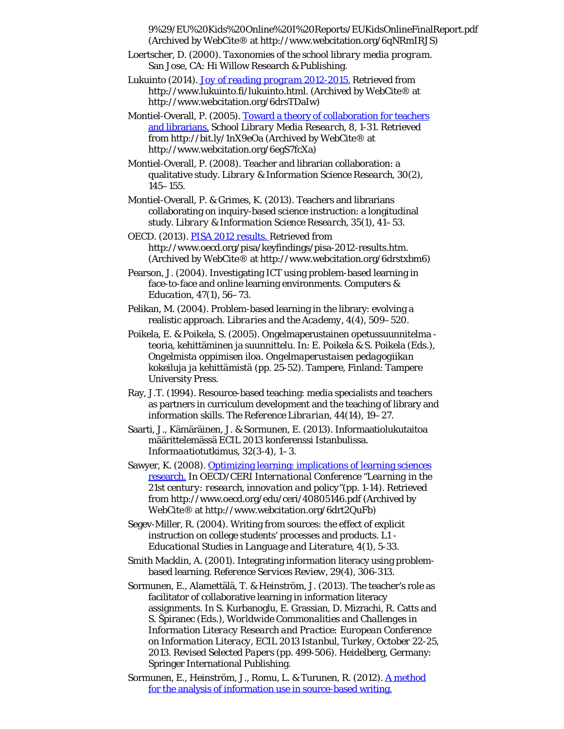9%29/EU%20Kids%20Online%20I%20Reports/EUKidsOnlineFinalReport.pdf (Archived by WebCite® at http://www.webcitation.org/6qNRmIRJS)

Loertscher, D. (2000). *Taxonomies of the school library media program.* San Jose, CA: Hi Willow Research & Publishing.

Lukuinto (2014). *[Joy of reading program 2012-2015.](http://www.webcitation.org/6drsTDaIw)* Retrieved from http://www.lukuinto.fi/lukuinto.html. (Archived by WebCite® at http://www.webcitation.org/6drsTDaIw)

Montiel-Overall, P. (2005). [Toward a theory of collaboration for teachers](http://www.webcitation.org/6egS7fcXa) [and librarians.](http://www.webcitation.org/6egS7fcXa) *School Library Media Research, 8*, 1-31. Retrieved from http://bit.ly/1nX9eOa (Archived by WebCite® at http://www.webcitation.org/6egS7fcXa)

Montiel-Overall, P. (2008). Teacher and librarian collaboration: a qualitative study. *Library & Information Science Research, 30*(2), 145–155.

Montiel-Overall, P. & Grimes, K. (2013). Teachers and librarians collaborating on inquiry-based science instruction: a longitudinal study. *Library & Information Science Research, 35*(1), 41–53.

OECD. (2013). *[PISA 2012 results.](http://www.webcitation.org/6drstxbm6)* Retrieved from http://www.oecd.org/pisa/keyfindings/pisa-2012-results.htm. (Archived by WebCite® at http://www.webcitation.org/6drstxbm6)

Pearson, J. (2004). Investigating ICT using problem-based learning in face-to-face and online learning environments. *Computers & Education, 47*(1), 56–73.

Pelikan, M. (2004). Problem-based learning in the library: evolving a realistic approach. *Libraries and the Academy, 4*(4), 509–520.

Poikela, E. & Poikela, S. (2005). Ongelmaperustainen opetussuunnitelma teoria, kehittäminen ja suunnittelu. In: E. Poikela & S. Poikela (Eds.), *Ongelmista oppimisen iloa. Ongelmaperustaisen pedagogiikan kokeiluja ja kehittämistä* (pp. 25-52). Tampere, Finland: Tampere University Press.

Ray, J.T. (1994). Resource-based teaching: media specialists and teachers as partners in curriculum development and the teaching of library and information skills. *The Reference Librarian, 44*(14), 19–27.

Saarti, J., Kämäräinen, J. & Sormunen, E. (2013). Informaatiolukutaitoa määrittelemässä ECIL 2013 konferenssi Istanbulissa. *Informaatiotutkimus, 32*(3-4), 1–3.

Sawyer, K. (2008). **Optimizing learning: implications of learning sciences** [research.](http://www.webcitation.org/6drt2QuFb) In *OECD/CERI International Conference "Learning in the 21st century: research, innovation and policy"*(pp. 1-14). Retrieved from http://www.oecd.org/edu/ceri/40805146.pdf (Archived by WebCite® at http://www.webcitation.org/6drt2QuFb)

Segev-Miller, R. (2004). Writing from sources: the effect of explicit instruction on college students' processes and products. *L1 - Educational Studies in Language and Literature, 4*(1), 5-33.

Smith Macklin, A. (2001). Integrating information literacy using problembased learning. *Reference Services Review, 29*(4), 306-313.

Sormunen, E., Alamettälä, T. & Heinström, J. (2013). The teacher's role as facilitator of collaborative learning in information literacy assignments. In S. Kurbanoglu, E. Grassian, D. Mizrachi, R. Catts and S. Špiranec (Eds.), *Worldwide Commonalities and Challenges in Information Literacy Research and Practice: European Conference on Information Literacy, ECIL 2013 Istanbul, Turkey, October 22-25, 2013. Revised Selected Papers* (pp. 499-506). Heidelberg, Germany: Springer International Publishing.

Sormunen, E., Heinström, J., Romu, L. & Turunen, R. (2012). [A method](http://www.webcitation.org/6drt5nYWU) [for the analysis of information use in source-based writing.](http://www.webcitation.org/6drt5nYWU)